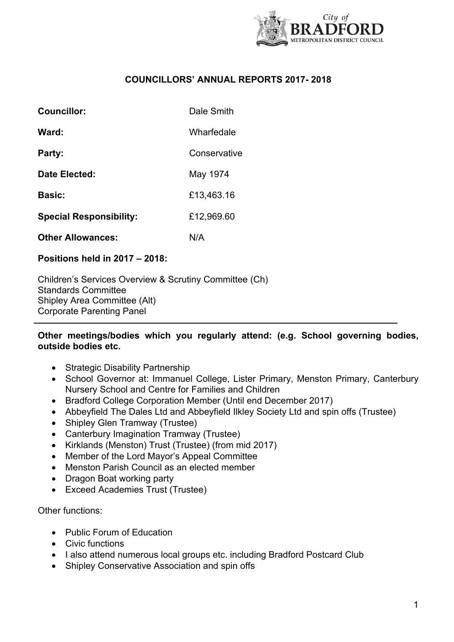

# **COUNCILLORS' ANNUAL REPORTS 2017- 2018**

| Councillor:                    | Dale Smith   |
|--------------------------------|--------------|
| Ward:                          | Wharfedale   |
| Party:                         | Conservative |
| Date Elected:                  | May 1974     |
| <b>Basic:</b>                  | £13,463.16   |
| <b>Special Responsibility:</b> | £12,969.60   |
| <b>Other Allowances:</b>       | N/A          |

### **Positions held in 2017 – 2018:**

Children's Services Overview & Scrutiny Committee (Ch) Standards Committee Shipley Area Committee (Alt) Corporate Parenting Panel

## **Other meetings/bodies which you regularly attend: (e.g. School governing bodies, outside bodies etc.**

- Strategic Disability Partnership
- School Governor at: Immanuel College, Lister Primary, Menston Primary, Canterbury Nursery School and Centre for Families and Children
- Bradford College Corporation Member (Until end December 2017)
- Abbeyfield The Dales Ltd and Abbeyfield Ilkley Society Ltd and spin offs (Trustee)
- Shipley Glen Tramway (Trustee)
- Canterbury Imagination Tramway (Trustee)
- Kirklands (Menston) Trust (Trustee) (from mid 2017)
- Member of the Lord Mayor's Appeal Committee
- Menston Parish Council as an elected member
- Dragon Boat working party
- Exceed Academies Trust (Trustee)

Other functions:

- Public Forum of Education
- Civic functions
- I also attend numerous local groups etc. including Bradford Postcard Club
- Shipley Conservative Association and spin offs